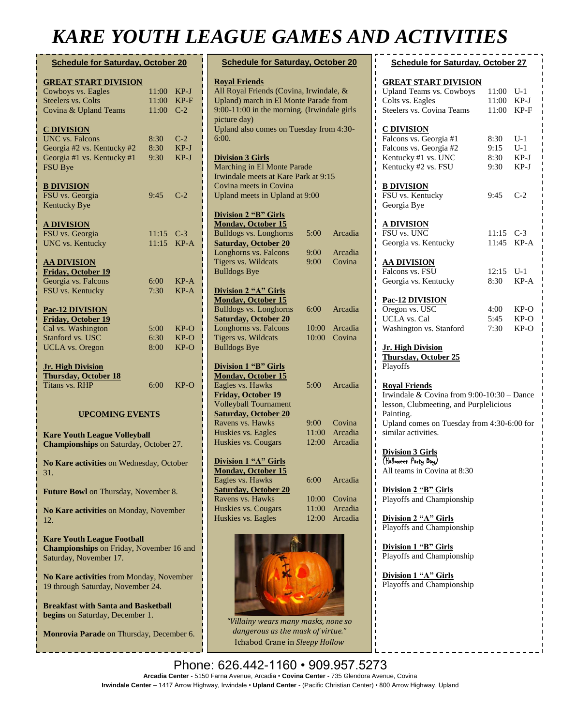## *KARE YOUTH LEAGUE GAMES AND ACTIVITIES*

| <b>Schedule for Saturday, October 20</b>                                      |       |        |  |  |
|-------------------------------------------------------------------------------|-------|--------|--|--|
| <b>GREAT START DIVISION</b>                                                   |       |        |  |  |
| Cowboys vs. Eagles                                                            | 11:00 | KP-J   |  |  |
| <b>Steelers vs. Colts</b>                                                     | 11:00 | $KP-F$ |  |  |
| Covina & Upland Teams                                                         | 11:00 | $C-2$  |  |  |
| <b>C DIVISION</b>                                                             |       |        |  |  |
| <b>UNC</b> vs. Falcons                                                        | 8:30  | $C-2$  |  |  |
| Georgia #2 vs. Kentucky #2                                                    | 8:30  | KP-J   |  |  |
| Georgia #1 vs. Kentucky #1                                                    | 9:30  | KP-J   |  |  |
| <b>FSU Bye</b>                                                                |       |        |  |  |
| <b>B DIVISION</b>                                                             |       |        |  |  |
| FSU vs. Georgia                                                               | 9:45  | $C-2$  |  |  |
| <b>Kentucky Bye</b>                                                           |       |        |  |  |
| <b>A DIVISION</b>                                                             |       |        |  |  |
| FSU vs. Georgia                                                               | 11:15 | $C-3$  |  |  |
| <b>UNC</b> vs. Kentucky                                                       | 11:15 | $KP-A$ |  |  |
| <b>AA DIVISION</b>                                                            |       |        |  |  |
| <b>Friday, October 19</b>                                                     |       |        |  |  |
| Georgia vs. Falcons                                                           | 6:00  | KP-A   |  |  |
| FSU vs. Kentucky                                                              | 7:30  | $KP-A$ |  |  |
| Pac-12 DIVISION                                                               |       |        |  |  |
| <b>Friday, October 19</b>                                                     |       |        |  |  |
| Cal vs. Washington                                                            | 5:00  | KP-O   |  |  |
| Stanford vs. USC                                                              | 6:30  | KP-O   |  |  |
| <b>UCLA</b> vs. Oregon                                                        | 8:00  | $KP-O$ |  |  |
| <b>Jr. High Division</b>                                                      |       |        |  |  |
| <b>Thursday, October 18</b>                                                   |       |        |  |  |
| <b>Titans vs. RHP</b>                                                         | 6:00  | KP-O   |  |  |
|                                                                               |       |        |  |  |
| <b>UPCOMING EVENTS</b>                                                        |       |        |  |  |
| <b>Kare Youth League Volleyball</b><br>Championships on Saturday, October 27. |       |        |  |  |
| No Kare activities on Wednesday, October<br>31.                               |       |        |  |  |
|                                                                               |       |        |  |  |

**Future Bowl** on Thursday, November 8.

**No Kare activities** on Monday, November 12.

**Kare Youth League Football Championships** on Friday, November 16 and Saturday, November 17.

**No Kare activities** from Monday, November 19 through Saturday, November 24.

**Breakfast with Santa and Basketball begins** on Saturday, December 1.

**Monrovia Parade** on Thursday, December 6.

| <b>Schedule for Saturday, October 20</b>                                                                                                                                                                                    |              |                    |  |  |
|-----------------------------------------------------------------------------------------------------------------------------------------------------------------------------------------------------------------------------|--------------|--------------------|--|--|
| <b>Royal Friends</b><br>All Royal Friends (Covina, Irwindale, &<br>Upland) march in El Monte Parade from<br>9:00-11:00 in the morning. (Irwindale girls<br>picture day)<br>Upland also comes on Tuesday from 4:30-<br>6:00. |              |                    |  |  |
| <b>Division 3 Girls</b><br>Marching in El Monte Parade<br>Irwindale meets at Kare Park at 9:15<br>Covina meets in Covina<br>Upland meets in Upland at 9:00                                                                  |              |                    |  |  |
|                                                                                                                                                                                                                             |              |                    |  |  |
| <b>Division 2 "B" Girls</b><br><b>Monday, October 15</b><br><b>Bulldogs vs. Longhorns</b><br><b>Saturday, October 20</b><br>Longhorns vs. Falcons                                                                           | 5:00<br>9:00 | Arcadia<br>Arcadia |  |  |
| Tigers vs. Wildcats                                                                                                                                                                                                         | 9:00         | Covina             |  |  |
| <b>Bulldogs Bye</b><br><b>Division 2 "A" Girls</b><br><b>Monday, October 15</b>                                                                                                                                             |              |                    |  |  |
| <b>Bulldogs vs. Longhorns</b>                                                                                                                                                                                               | 6:00         | Arcadia            |  |  |
| <b>Saturday, October 20</b><br>Longhorns vs. Falcons                                                                                                                                                                        | 10:00        | Arcadia            |  |  |
| Tigers vs. Wildcats                                                                                                                                                                                                         | 10:00        | Covina             |  |  |
| <b>Bulldogs Bye</b>                                                                                                                                                                                                         |              |                    |  |  |
| <b>Division 1 "B" Girls</b><br><b>Monday, October 15</b><br>Eagles vs. Hawks<br><b>Friday, October 19</b><br><b>Volleyball Tournament</b>                                                                                   | 5:00         | Arcadia            |  |  |
| <b>Saturday, October 20</b><br>Ravens vs. Hawks                                                                                                                                                                             | 9:00         | Covina             |  |  |
| Huskies vs. Eagles                                                                                                                                                                                                          | 11:00        | Arcadia            |  |  |
| Huskies vs. Cougars                                                                                                                                                                                                         | 12:00        | Arcadia            |  |  |
| Division 1 "A" Girls<br><b>Monday, October 15</b>                                                                                                                                                                           |              |                    |  |  |
| Eagles vs. Hawks                                                                                                                                                                                                            | 6:00         | Arcadia            |  |  |
| <b>Saturday, October 20</b><br>Ravens vs. Hawks                                                                                                                                                                             | 10:00        | Covina             |  |  |
| Huskies vs. Cougars                                                                                                                                                                                                         | 11:00        | Arcadia            |  |  |
| Huskies vs. Eagles                                                                                                                                                                                                          | 12:00        | Arcadia            |  |  |
|                                                                                                                                                                                                                             |              |                    |  |  |



*"Villainy wears many masks, none so dangerous as the mask of virtue."* Ichabod Crane in *[Sleepy Hollow](https://www.amazon.com/Sleepy-Hollow-Johnny-Depp/dp/B000LGOPW2)*

| <b>Schedule for Saturday, October 27</b>                                                                                                                                                         |                              |                      |  |  |
|--------------------------------------------------------------------------------------------------------------------------------------------------------------------------------------------------|------------------------------|----------------------|--|--|
| <u>GREAT START DIVISION</u><br><b>Upland Teams vs. Cowboys</b>                                                                                                                                   | 11:00                        | $U-1$                |  |  |
| Colts vs. Eagles<br>Steelers vs. Covina Teams                                                                                                                                                    | 11:00<br>11:00               | KP-J<br>KP-F         |  |  |
| <b>C DIVISION</b><br>Falcons vs. Georgia #1<br>Falcons vs. Georgia #2<br>Kentucky #1 vs. UNC                                                                                                     | 8:30<br>9:15<br>8:30<br>9:30 | U-1<br>U-1<br>KP-J   |  |  |
| Kentucky #2 vs. FSU<br><b>B DIVISION</b><br>FSU vs. Kentucky<br>Georgia Bye                                                                                                                      | 9:45                         | KP-J<br>$C-2$        |  |  |
| <b>A DIVISION</b><br><b>FSU vs. UNC</b><br>Georgia vs. Kentucky                                                                                                                                  | 11:15<br>11:45               | $C-3$<br>$KP-A$      |  |  |
| <u>AA DIVISION</u><br>Falcons vs. FSU<br>Georgia vs. Kentucky                                                                                                                                    | 12:15<br>8:30                | U-1<br>KP-A          |  |  |
| Pac-12 DIVISION<br>Oregon vs. USC<br><b>UCLA</b> vs. Cal<br>Washington vs. Stanford                                                                                                              | 4:00<br>5:45<br>7:30         | KP-O<br>KP-O<br>KP-O |  |  |
| <b>Jr. High Division</b><br><b>Thursday, October 25</b><br>Playoffs                                                                                                                              |                              |                      |  |  |
| <b>Royal Friends</b><br>Irwindale & Covina from $9:00-10:30$ – Dance<br>lesson, Clubmeeting, and Purplelicious<br>Painting.<br>Upland comes on Tuesday from 4:30-6:00 for<br>similar activities. |                              |                      |  |  |
| <b>Division 3 Girls</b><br>(Halloween Party Day)<br>ı<br>All teams in Covina at 8:30<br>ı                                                                                                        |                              | ı<br>ı<br>ı          |  |  |
| Division 2 "B" Girls<br>ı<br>ı<br>Playoffs and Championship                                                                                                                                      |                              |                      |  |  |
| ı<br>ı<br>Division 2 "A" Girls<br>Playoffs and Championship<br>ı<br>ı                                                                                                                            |                              |                      |  |  |
| ı<br>Division 1 "B" Girls<br>ı<br>ı<br>Playoffs and Championship                                                                                                                                 |                              | ı                    |  |  |

**Division 1 "A" Girls** Playoffs and Championship